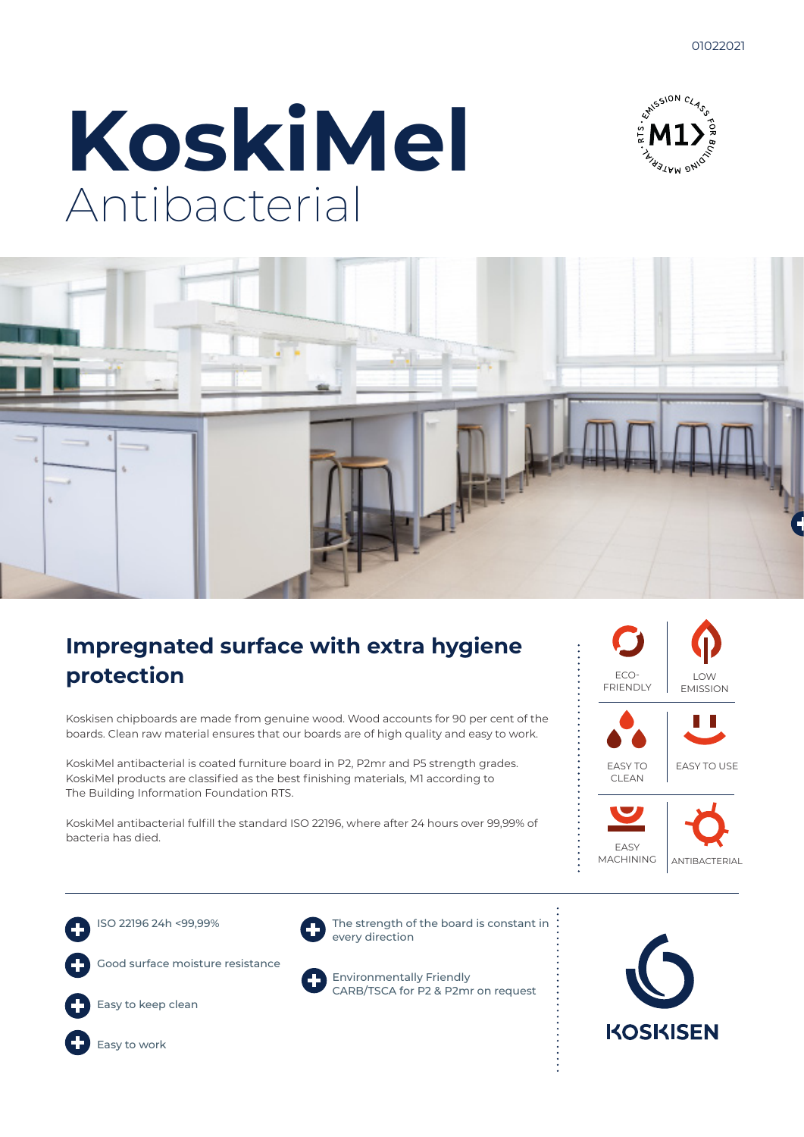





### **Impregnated surface with extra hygiene protection**

Koskisen chipboards are made from genuine wood. Wood accounts for 90 per cent of the boards. Clean raw material ensures that our boards are of high quality and easy to work.

KoskiMel antibacterial is coated furniture board in P2, P2mr and P5 strength grades. KoskiMel products are classified as the best finishing materials, M1 according to The Building Information Foundation RTS.

KoskiMel antibacterial fulfill the standard ISO 22196, where after 24 hours over 99,99% of bacteria has died.









Easy to keep clean



The strength of the board is constant in every direction



Environmentally Friendly CARB/TSCA for P2 & P2mr on request